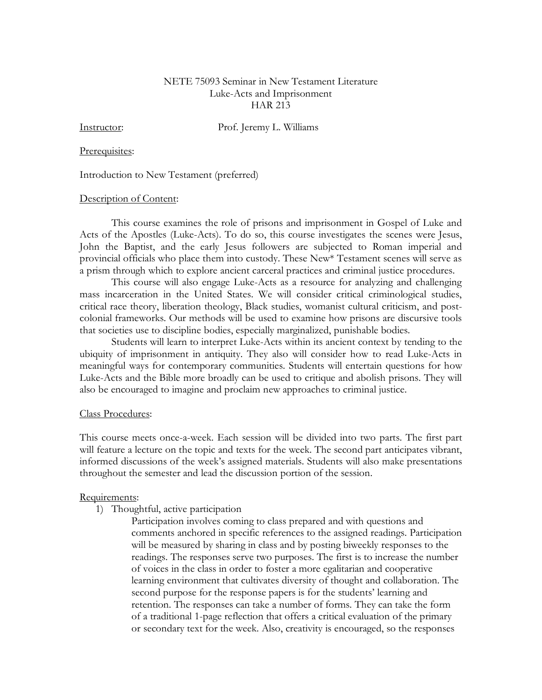# NETE 75093 Seminar in New Testament Literature Luke-Acts and Imprisonment HAR 213

Instructor: Prof. Jeremy L. Williams

### Prerequisites:

### Introduction to New Testament (preferred)

## Description of Content:

This course examines the role of prisons and imprisonment in Gospel of Luke and Acts of the Apostles (Luke-Acts). To do so, this course investigates the scenes were Jesus, John the Baptist, and the early Jesus followers are subjected to Roman imperial and provincial officials who place them into custody. These New\* Testament scenes will serve as a prism through which to explore ancient carceral practices and criminal justice procedures.

This course will also engage Luke-Acts as a resource for analyzing and challenging mass incarceration in the United States. We will consider critical criminological studies, critical race theory, liberation theology, Black studies, womanist cultural criticism, and postcolonial frameworks. Our methods will be used to examine how prisons are discursive tools that societies use to discipline bodies, especially marginalized, punishable bodies.

Students will learn to interpret Luke-Acts within its ancient context by tending to the ubiquity of imprisonment in antiquity. They also will consider how to read Luke-Acts in meaningful ways for contemporary communities. Students will entertain questions for how Luke-Acts and the Bible more broadly can be used to critique and abolish prisons. They will also be encouraged to imagine and proclaim new approaches to criminal justice.

## Class Procedures:

This course meets once-a-week. Each session will be divided into two parts. The first part will feature a lecture on the topic and texts for the week. The second part anticipates vibrant, informed discussions of the week's assigned materials. Students will also make presentations throughout the semester and lead the discussion portion of the session.

## Requirements:

- 1) Thoughtful, active participation
	- Participation involves coming to class prepared and with questions and comments anchored in specific references to the assigned readings. Participation will be measured by sharing in class and by posting biweekly responses to the readings. The responses serve two purposes. The first is to increase the number of voices in the class in order to foster a more egalitarian and cooperative learning environment that cultivates diversity of thought and collaboration. The second purpose for the response papers is for the students' learning and retention. The responses can take a number of forms. They can take the form of a traditional 1-page reflection that offers a critical evaluation of the primary or secondary text for the week. Also, creativity is encouraged, so the responses